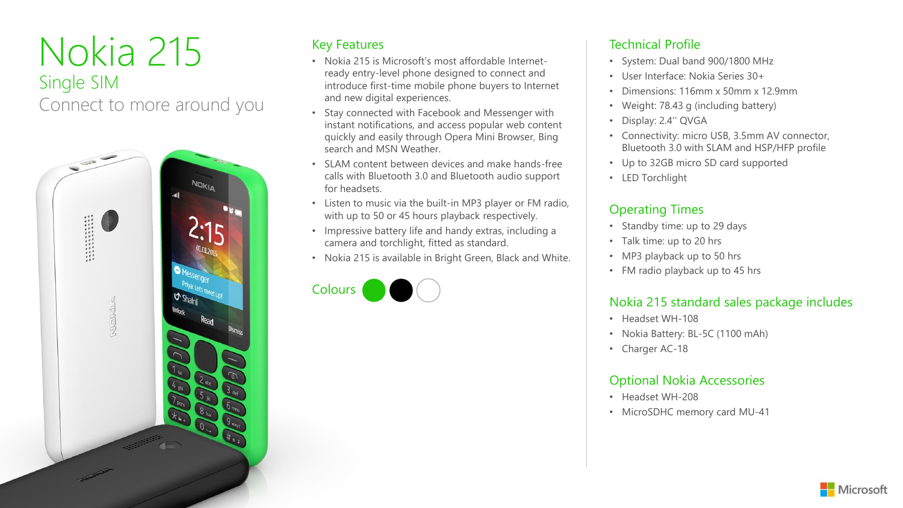# Nokia 215 Single SIM Connect to more around you



### Key Features

- Nokia 215 is Microsoft's most affordable Internetready entry-level phone designed to connect and introduce first-time mobile phone buyers to Internet and new digital experiences.
- Stay connected with Facebook and Messenger with instant notifications, and access popular web content quickly and easily through Opera Mini Browser, Bing search and MSN Weather.
- SLAM content between devices and make hands-free calls with Bluetooth 3.0 and Bluetooth audio support for headsets.
- Listen to music via the built-in MP3 player or FM radio, with up to 50 or 45 hours playback respectively.
- Impressive battery life and handy extras, including a camera and torchlight, fitted as standard.
- Nokia 215 is available in Bright Green, Black and White.



### Technical Profile

- System: Dual band 900/1800 MHz
- User Interface: Nokia Series 30+
- Dimensions: 116mm x 50mm x 12.9mm
- Weight: 78.43 g (including battery)
- Display: 2.4'' QVGA
- Connectivity: micro USB, 3.5mm AV connector, Bluetooth 3.0 with SLAM and HSP/HFP profile
- Up to 32GB micro SD card supported
- LED Torchlight

### Operating Times

- Standby time: up to 29 days
- Talk time: up to 20 hrs
- MP3 playback up to 50 hrs
- FM radio playback up to 45 hrs

### Nokia 215 standard sales package includes

- Headset WH-108
- Nokia Battery: BL-5C (1100 mAh)
- Charger AC-18

### Optional Nokia Accessories

- Headset WH-208
- MicroSDHC memory card MU-41